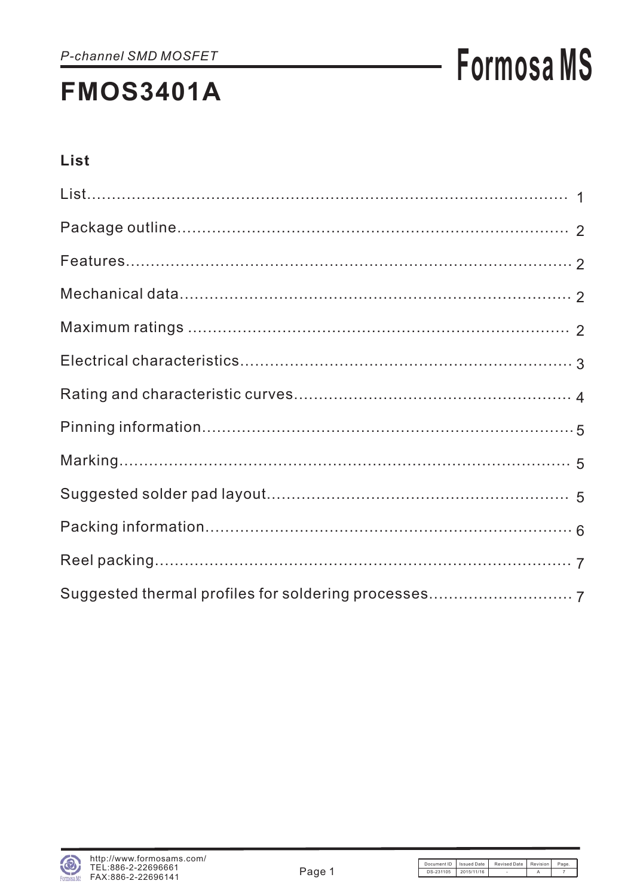# **Formosa MS**

### List

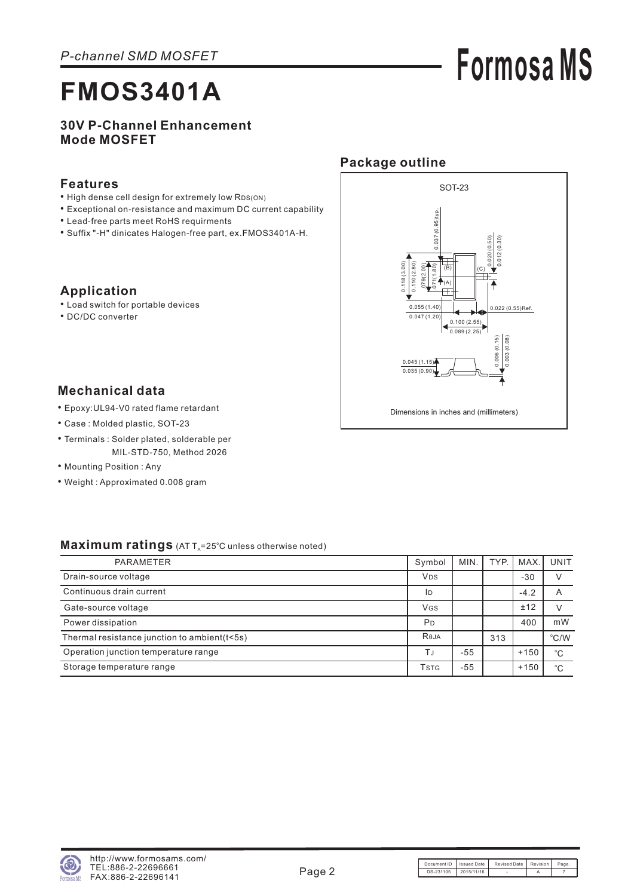# **Formosa MS**

#### **30V P-Channel Enhancement Mode MOSFET**

#### **Features**

- High dense cell design for extremely low R DS(ON)
- Exceptional on-resistance and maximum DC current capability
- Lead-free parts meet RoHS requirments
- Suffix "-H" dinicates Halogen-free part, ex.FMOS3401A-H.

### **Application**

- Load switch for portable devices
- DC/DC converter



#### **Mechanical data**

- Epoxy:UL94-V0 rated flame retardant •
- Case : Molded plastic, SOT-23
- Terminals : Solder plated, solderable per MIL-STD-750, Method 2026
- Mounting Position: Any
- Weight : Approximated 0.008 gram

#### Maximum ratings (AT T<sub>A</sub>=25°C unless otherwise noted)

| <b>PARAMETER</b>                             | Symbol         | MIN.  | TYP. | MAX.   | UNIT          |
|----------------------------------------------|----------------|-------|------|--------|---------------|
| Drain-source voltage                         | <b>VDS</b>     |       |      | $-30$  |               |
| Continuous drain current                     | ID             |       |      | $-4.2$ | A             |
| Gate-source voltage                          | <b>VGS</b>     |       |      | ±12    |               |
| Power dissipation                            | P <sub>D</sub> |       |      | 400    | mW            |
| Thermal resistance junction to ambient(t<5s) | Reja           |       | 313  |        | $\degree$ C/W |
| Operation junction temperature range         | ΤJ             | $-55$ |      | $+150$ | °С            |
| Storage temperature range                    | Tstg           | -55   |      | $+150$ | $^{\circ}C$   |

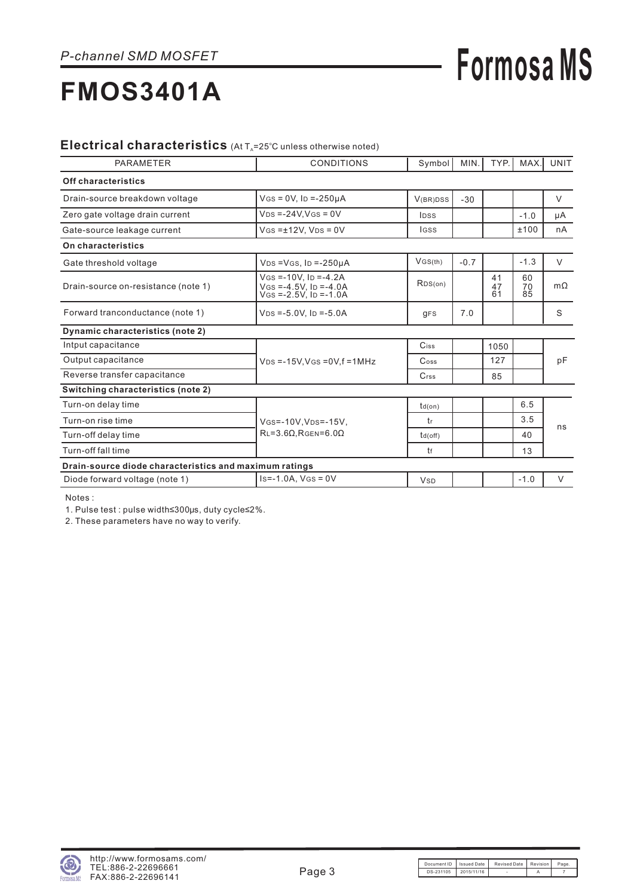## **Formosa MS**

#### Electrical characteristics (At T<sub>A</sub>=25°C unless otherwise noted)

| <b>PARAMETER</b>                                       | <b>CONDITIONS</b>                                                                   | Symbol                      | MIN.   | TYP.           | MAX.           | <b>UNIT</b> |  |  |
|--------------------------------------------------------|-------------------------------------------------------------------------------------|-----------------------------|--------|----------------|----------------|-------------|--|--|
| Off characteristics                                    |                                                                                     |                             |        |                |                |             |  |  |
| Drain-source breakdown voltage                         | $V$ GS = 0V, ID = -250µA                                                            | V(BR)DSS                    | $-30$  |                |                | $\vee$      |  |  |
| Zero gate voltage drain current                        | $V_{DS} = -24V$ , $V_{GS} = 0V$                                                     | <b>IDSS</b>                 |        |                | $-1.0$         | μA          |  |  |
| Gate-source leakage current                            | $V$ GS = $±12V$ , $V$ DS = 0V                                                       | <b>IGSS</b>                 |        |                | ±100           | nA          |  |  |
| On characteristics                                     |                                                                                     |                             |        |                |                |             |  |  |
| Gate threshold voltage                                 | $VDS = VGS$ , $ID = -250\mu A$                                                      | VGS(th)                     | $-0.7$ |                | $-1.3$         | $\vee$      |  |  |
| Drain-source on-resistance (note 1)                    | $V$ GS = -10V. ID = -4.2A<br>$V$ GS =-4.5V, ID =-4.0A<br>$V$ GS = -2.5V. ID = -1.0A | RDS(on)                     |        | 41<br>47<br>61 | 60<br>70<br>85 | $m\Omega$   |  |  |
| Forward tranconductance (note 1)                       | $VDS = -5.0V$ , $ID = -5.0A$                                                        | <b>gFS</b>                  | 7.0    |                |                | S           |  |  |
| Dynamic characteristics (note 2)                       |                                                                                     |                             |        |                |                |             |  |  |
| Intput capacitance                                     |                                                                                     | Ciss                        |        | 1050           |                |             |  |  |
| Output capacitance                                     | $V_{DS} = -15V$ , $V_{GS} = 0V$ , $f = 1MHz$                                        | $\mathrm{C}$ <sub>oss</sub> |        | 127            |                | pF          |  |  |
| Reverse transfer capacitance                           |                                                                                     | $C$ <sub>rss</sub>          |        | 85             |                |             |  |  |
| Switching characteristics (note 2)                     |                                                                                     |                             |        |                |                |             |  |  |
| Turn-on delay time                                     |                                                                                     | $td($ on $)$                |        |                | 6.5            |             |  |  |
| Turn-on rise time                                      | VGS=-10V, VDS=-15V,                                                                 | tr                          |        |                | 3.5            | ns          |  |  |
| Turn-off delay time                                    | $RL = 3.6\Omega$ , RGEN=6.00                                                        | $td($ off $)$               |        |                | 40             |             |  |  |
| Turn-off fall time                                     |                                                                                     | tf                          |        |                | 13             |             |  |  |
| Drain-source diode characteristics and maximum ratings |                                                                                     |                             |        |                |                |             |  |  |
| Diode forward voltage (note 1)                         | $Is = -1.0A$ , $V$ $(s = 0V)$                                                       | <b>V<sub>SD</sub></b>       |        |                | $-1.0$         | $\vee$      |  |  |

Notes :

1. Pulse test : pulse width≤300μs, duty cycle≤2%.

2 These parameters have no way to verify. .

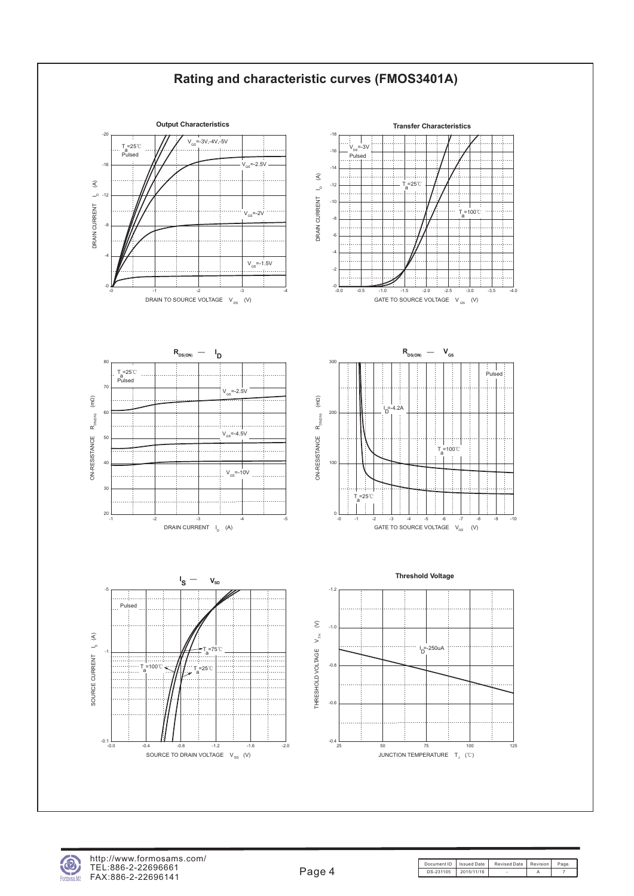



Document ID | Issued Date | Revised Date | Revision | Page DS-231105 2015/11/16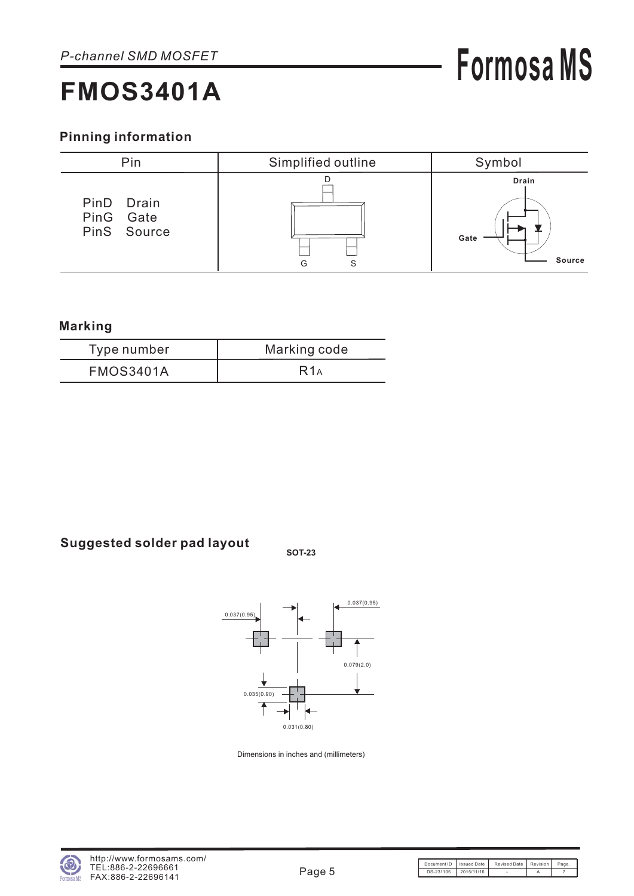### **Pinning information**



#### **Marking**

| Type number      | Marking code |
|------------------|--------------|
| <b>FMOS3401A</b> | R1A          |

### **Suggested solder pad layout SOT-23**



Dimensions in inches and (millimeters)

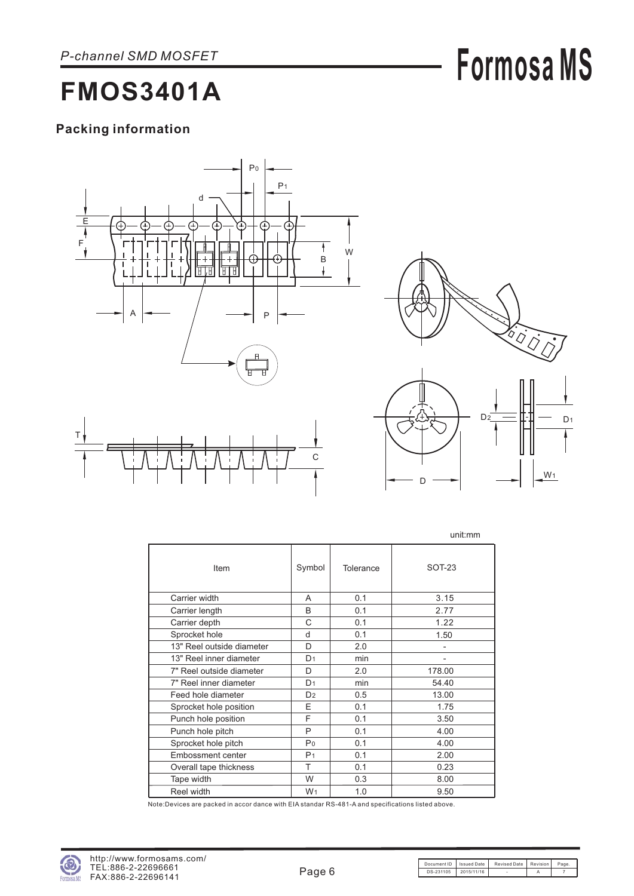# **Formosa MS**

### **FMOS3401A**

### **Packing information**





W<sub>1</sub>

D

|                           |                |           | unit:mm                      |
|---------------------------|----------------|-----------|------------------------------|
| Item                      | Symbol         | Tolerance | $SOT-23$                     |
| Carrier width             | A              | 0.1       | 3.15                         |
| Carrier length            | B              | 0.1       | 2.77                         |
| Carrier depth             | C              | 0.1       | 1.22                         |
| Sprocket hole             | d              | 0.1       | 1.50                         |
| 13" Reel outside diameter | D              | 2.0       | $\qquad \qquad \blacksquare$ |
| 13" Reel inner diameter   | D <sub>1</sub> | min       | $\qquad \qquad \blacksquare$ |
| 7" Reel outside diameter  | D              | 2.0       | 178.00                       |
| 7" Reel inner diameter    | D <sub>1</sub> | min       | 54.40                        |
| Feed hole diameter        | D <sub>2</sub> | 0.5       | 13.00                        |
| Sprocket hole position    | F              | 0.1       | 1.75                         |
| Punch hole position       | F              | 0.1       | 3.50                         |
| Punch hole pitch          | P              | 0.1       | 4.00                         |
| Sprocket hole pitch       | P <sub>0</sub> | 0.1       | 4.00                         |
| Embossment center         | P <sub>1</sub> | 0.1       | 2.00                         |
| Overall tape thickness    | T              | 0.1       | 0.23                         |
| Tape width                | W              | 0.3       | 8.00                         |
| Reel width                | W <sub>1</sub> | 1.0       | 9.50                         |

Note:Devices are packed in accor dance with EIA standar RS-481-A and specifications listed above.